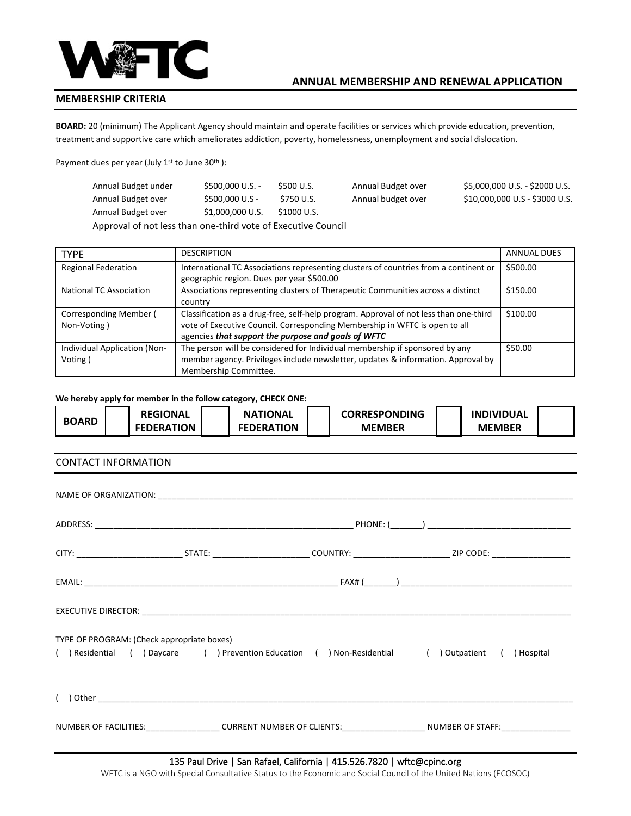

## **MEMBERSHIP CRITERIA**

**BOARD:** 20 (minimum) The Applicant Agency should maintain and operate facilities or services which provide education, prevention, treatment and supportive care which ameliorates addiction, poverty, homelessness, unemployment and social dislocation.

Payment dues per year (July 1<sup>st</sup> to June 30<sup>th</sup>):

| Annual Budget under | $$500,000$ U.S. - | \$500 U.S.  | Annual Budget over | \$5,000,000 U.S. - \$2000 U.S. |
|---------------------|-------------------|-------------|--------------------|--------------------------------|
| Annual Budget over  | \$500,000 U.S -   | S750 U.S.   | Annual budget over | \$10,000,000 U.S - \$3000 U.S. |
| Annual Budget over  | \$1,000,000 U.S.  | \$1000 U.S. |                    |                                |

Approval of not less than one-third vote of Executive Council

| <b>TYPE</b>                             | <b>DESCRIPTION</b>                                                                                                                                                                                                         | <b>ANNUAL DUES</b> |
|-----------------------------------------|----------------------------------------------------------------------------------------------------------------------------------------------------------------------------------------------------------------------------|--------------------|
| <b>Regional Federation</b>              | International TC Associations representing clusters of countries from a continent or<br>geographic region. Dues per year \$500.00                                                                                          | \$500.00           |
| <b>National TC Association</b>          | Associations representing clusters of Therapeutic Communities across a distinct<br>country                                                                                                                                 | \$150.00           |
| Corresponding Member (<br>Non-Voting)   | Classification as a drug-free, self-help program. Approval of not less than one-third<br>vote of Executive Council. Corresponding Membership in WFTC is open to all<br>agencies that support the purpose and goals of WFTC | \$100.00           |
| Individual Application (Non-<br>Voting) | The person will be considered for Individual membership if sponsored by any<br>member agency. Privileges include newsletter, updates & information. Approval by<br>Membership Committee.                                   | \$50.00            |

#### **We hereby apply for member in the follow category, CHECK ONE:**

| <b>BOARD</b> | <b>REGIONAL</b>   | <b>NATIONAL</b>   | <b>CORRESPONDING</b> | <b>INDIVIDUAL</b> |  |
|--------------|-------------------|-------------------|----------------------|-------------------|--|
|              | <b>FEDERATION</b> | <b>FEDERATION</b> | <b>MEMBER</b>        | <b>MEMBER</b>     |  |

## CONTACT INFORMATION

| TYPE OF PROGRAM: (Check appropriate boxes)<br>( ) Residential ( ) Daycare ( ) Prevention Education ( ) Non-Residential ( ) Outpatient ( ) Hospital |  |
|----------------------------------------------------------------------------------------------------------------------------------------------------|--|
|                                                                                                                                                    |  |
| NUMBER OF FACILITIES:___________________CURRENT NUMBER OF CLIENTS:_____________________NUMBER OF STAFF:___________________                         |  |

WFTC is a NGO with Special Consultative Status to the Economic and Social Council of the United Nations (ECOSOC)